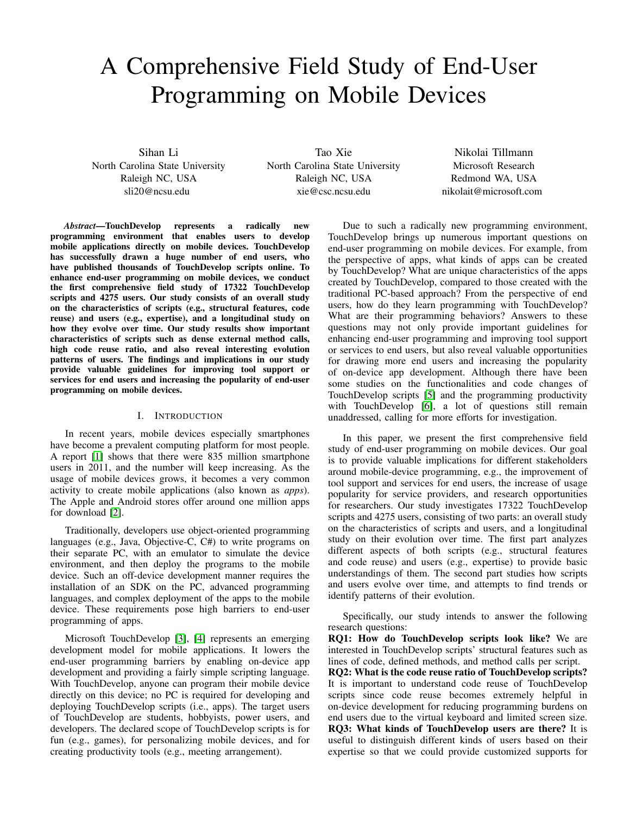# <span id="page-0-0"></span>A Comprehensive Field Study of End-User Programming on Mobile Devices

Sihan Li North Carolina State University Raleigh NC, USA sli20@ncsu.edu

Tao Xie North Carolina State University Raleigh NC, USA xie@csc.ncsu.edu

Nikolai Tillmann Microsoft Research Redmond WA, USA nikolait@microsoft.com

*Abstract*—TouchDevelop represents a radically new programming environment that enables users to develop mobile applications directly on mobile devices. TouchDevelop has successfully drawn a huge number of end users, who have published thousands of TouchDevelop scripts online. To enhance end-user programming on mobile devices, we conduct the first comprehensive field study of 17322 TouchDevelop scripts and 4275 users. Our study consists of an overall study on the characteristics of scripts (e.g., structural features, code reuse) and users (e.g., expertise), and a longitudinal study on how they evolve over time. Our study results show important characteristics of scripts such as dense external method calls, high code reuse ratio, and also reveal interesting evolution patterns of users. The findings and implications in our study provide valuable guidelines for improving tool support or services for end users and increasing the popularity of end-user programming on mobile devices.

# I. INTRODUCTION

In recent years, mobile devices especially smartphones have become a prevalent computing platform for most people. A report [\[1\]](#page-7-0) shows that there were 835 million smartphone users in 2011, and the number will keep increasing. As the usage of mobile devices grows, it becomes a very common activity to create mobile applications (also known as *apps*). The Apple and Android stores offer around one million apps for download [\[2\]](#page-7-1).

Traditionally, developers use object-oriented programming languages (e.g., Java, Objective-C, C#) to write programs on their separate PC, with an emulator to simulate the device environment, and then deploy the programs to the mobile device. Such an off-device development manner requires the installation of an SDK on the PC, advanced programming languages, and complex deployment of the apps to the mobile device. These requirements pose high barriers to end-user programming of apps.

Microsoft TouchDevelop [\[3\]](#page-7-2), [\[4\]](#page-7-3) represents an emerging development model for mobile applications. It lowers the end-user programming barriers by enabling on-device app development and providing a fairly simple scripting language. With TouchDevelop, anyone can program their mobile device directly on this device; no PC is required for developing and deploying TouchDevelop scripts (i.e., apps). The target users of TouchDevelop are students, hobbyists, power users, and developers. The declared scope of TouchDevelop scripts is for fun (e.g., games), for personalizing mobile devices, and for creating productivity tools (e.g., meeting arrangement).

Due to such a radically new programming environment, TouchDevelop brings up numerous important questions on end-user programming on mobile devices. For example, from the perspective of apps, what kinds of apps can be created by TouchDevelop? What are unique characteristics of the apps created by TouchDevelop, compared to those created with the traditional PC-based approach? From the perspective of end users, how do they learn programming with TouchDevelop? What are their programming behaviors? Answers to these questions may not only provide important guidelines for enhancing end-user programming and improving tool support or services to end users, but also reveal valuable opportunities for drawing more end users and increasing the popularity of on-device app development. Although there have been some studies on the functionalities and code changes of TouchDevelop scripts [\[5\]](#page-7-4) and the programming productivity with TouchDevelop [\[6\]](#page-7-5), a lot of questions still remain unaddressed, calling for more efforts for investigation.

In this paper, we present the first comprehensive field study of end-user programming on mobile devices. Our goal is to provide valuable implications for different stakeholders around mobile-device programming, e.g., the improvement of tool support and services for end users, the increase of usage popularity for service providers, and research opportunities for researchers. Our study investigates 17322 TouchDevelop scripts and 4275 users, consisting of two parts: an overall study on the characteristics of scripts and users, and a longitudinal study on their evolution over time. The first part analyzes different aspects of both scripts (e.g., structural features and code reuse) and users (e.g., expertise) to provide basic understandings of them. The second part studies how scripts and users evolve over time, and attempts to find trends or identify patterns of their evolution.

Specifically, our study intends to answer the following research questions:

RQ1: How do TouchDevelop scripts look like? We are interested in TouchDevelop scripts' structural features such as lines of code, defined methods, and method calls per script. RQ2: What is the code reuse ratio of TouchDevelop scripts? It is important to understand code reuse of TouchDevelop scripts since code reuse becomes extremely helpful in on-device development for reducing programming burdens on end users due to the virtual keyboard and limited screen size. RQ3: What kinds of TouchDevelop users are there? It is useful to distinguish different kinds of users based on their expertise so that we could provide customized supports for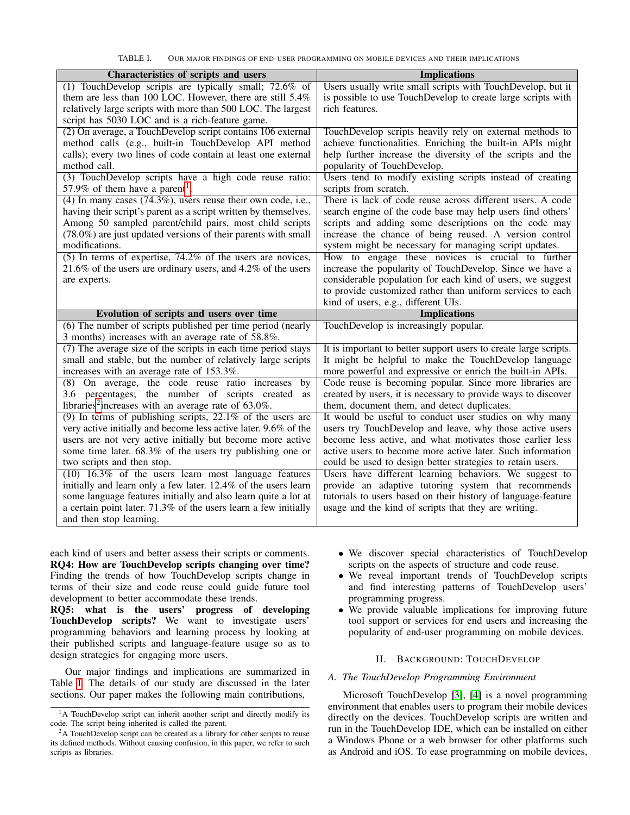<span id="page-1-0"></span>TABLE I. OUR MAJOR FINDINGS OF END-USER PROGRAMMING ON MOBILE DEVICES AND THEIR IMPLICATIONS

| Characteristics of scripts and users                                                                                      | <b>Implications</b>                                                                                                       |
|---------------------------------------------------------------------------------------------------------------------------|---------------------------------------------------------------------------------------------------------------------------|
| (1) TouchDevelop scripts are typically small; 72.6% of                                                                    | Users usually write small scripts with TouchDevelop, but it                                                               |
| them are less than 100 LOC. However, there are still 5.4%<br>relatively large scripts with more than 500 LOC. The largest | is possible to use TouchDevelop to create large scripts with<br>rich features.                                            |
| script has 5030 LOC and is a rich-feature game.                                                                           |                                                                                                                           |
| (2) On average, a TouchDevelop script contains 106 external                                                               | TouchDevelop scripts heavily rely on external methods to                                                                  |
| method calls (e.g., built-in TouchDevelop API method                                                                      | achieve functionalities. Enriching the built-in APIs might                                                                |
| calls); every two lines of code contain at least one external                                                             | help further increase the diversity of the scripts and the                                                                |
| method call.<br>(3) TouchDevelop scripts have a high code reuse ratio:                                                    | popularity of TouchDevelop.<br>Users tend to modify existing scripts instead of creating                                  |
| 57.9% of them have a parent <sup>1</sup> .                                                                                | scripts from scratch.                                                                                                     |
| $(4)$ In many cases $(74.3\%)$ , users reuse their own code, i.e.,                                                        | There is lack of code reuse across different users. A code                                                                |
| having their script's parent as a script written by themselves.                                                           | search engine of the code base may help users find others'                                                                |
| Among 50 sampled parent/child pairs, most child scripts                                                                   | scripts and adding some descriptions on the code may                                                                      |
| (78.0%) are just updated versions of their parents with small<br>modifications.                                           | increase the chance of being reused. A version control<br>system might be necessary for managing script updates.          |
| $(5)$ In terms of expertise, 74.2% of the users are novices,                                                              | How to engage these novices is crucial to further                                                                         |
| 21.6% of the users are ordinary users, and $4.2\%$ of the users                                                           | increase the popularity of TouchDevelop. Since we have a                                                                  |
| are experts.                                                                                                              | considerable population for each kind of users, we suggest                                                                |
|                                                                                                                           | to provide customized rather than uniform services to each<br>kind of users, e.g., different UIs.                         |
| Evolution of scripts and users over time                                                                                  | <b>Implications</b>                                                                                                       |
| (6) The number of scripts published per time period (nearly                                                               | TouchDevelop is increasingly popular.                                                                                     |
| 3 months) increases with an average rate of 58.8%.                                                                        |                                                                                                                           |
| $(7)$ The average size of the scripts in each time period stays                                                           | It is important to better support users to create large scripts.                                                          |
| small and stable, but the number of relatively large scripts                                                              | It might be helpful to make the TouchDevelop language                                                                     |
| increases with an average rate of 153.3%.                                                                                 | more powerful and expressive or enrich the built-in APIs.                                                                 |
| (8) On average, the code reuse ratio increases<br>by<br>3.6 percentages; the number of scripts created<br>as              | Code reuse is becoming popular. Since more libraries are<br>created by users, it is necessary to provide ways to discover |
| libraries <sup>2</sup> increases with an average rate of $63.0\%$ .                                                       | them, document them, and detect duplicates.                                                                               |
| $(9)$ In terms of publishing scripts, 22.1% of the users are                                                              | It would be useful to conduct user studies on why many                                                                    |
| very active initially and become less active later. 9.6% of the                                                           | users try TouchDevelop and leave, why those active users                                                                  |
| users are not very active initially but become more active                                                                | become less active, and what motivates those earlier less                                                                 |
| some time later. 68.3% of the users try publishing one or<br>two scripts and then stop.                                   | active users to become more active later. Such information<br>could be used to design better strategies to retain users.  |
| $(10)$ 16.3% of the users learn most language features                                                                    | Users have different learning behaviors. We suggest to                                                                    |
| initially and learn only a few later. 12.4% of the users learn                                                            | provide an adaptive tutoring system that recommends                                                                       |
| some language features initially and also learn quite a lot at                                                            | tutorials to users based on their history of language-feature                                                             |
| a certain point later. 71.3% of the users learn a few initially                                                           | usage and the kind of scripts that they are writing.                                                                      |
| and then stop learning.                                                                                                   |                                                                                                                           |

each kind of users and better assess their scripts or comments. RQ4: How are TouchDevelop scripts changing over time? Finding the trends of how TouchDevelop scripts change in terms of their size and code reuse could guide future tool development to better accommodate these trends.

RQ5: what is the users' progress of developing TouchDevelop scripts? We want to investigate users' programming behaviors and learning process by looking at their published scripts and language-feature usage so as to design strategies for engaging more users.

Our major findings and implications are summarized in Table [I.](#page-1-0) The details of our study are discussed in the later sections. Our paper makes the following main contributions,

- We discover special characteristics of TouchDevelop scripts on the aspects of structure and code reuse.
- We reveal important trends of TouchDevelop scripts and find interesting patterns of TouchDevelop users' programming progress.
- We provide valuable implications for improving future tool support or services for end users and increasing the popularity of end-user programming on mobile devices.

# II. BACKGROUND: TOUCHDEVELOP

# *A. The TouchDevelop Programming Environment*

Microsoft TouchDevelop [\[3\]](#page-7-2), [\[4\]](#page-7-3) is a novel programming environment that enables users to program their mobile devices directly on the devices. TouchDevelop scripts are written and run in the TouchDevelop IDE, which can be installed on either a Windows Phone or a web browser for other platforms such as Android and iOS. To ease programming on mobile devices,

<sup>&</sup>lt;sup>1</sup>A TouchDevelop script can inherit another script and directly modify its code. The script being inherited is called the parent.

 ${}^{2}$ A TouchDevelop script can be created as a library for other scripts to reuse its defined methods. Without causing confusion, in this paper, we refer to such scripts as libraries.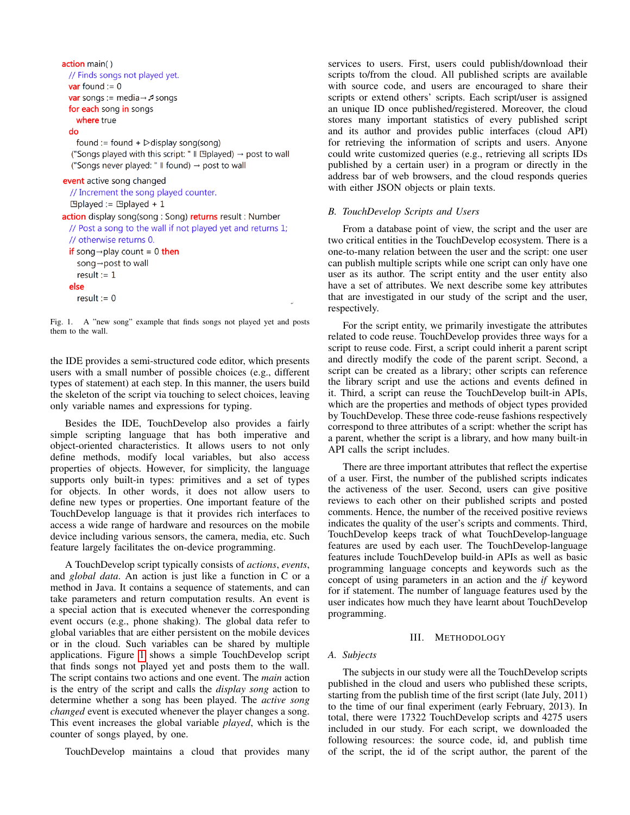```
action main()
 // Finds songs not played yet.
 var found := 0var songs := media \rightarrow F songs
  for each song in songs
    where true
  do
    found := found + \triangleright display song(song)
  ("Songs played with this script: " \parallel Eplayed) \rightarrow post to wall
  ("Songs never played: " \parallel found) \rightarrow post to wall
event active song changed
  // Increment the song played counter.
  \Boxplayed := \Boxplayed + 1
action display song(song: Song) returns result: Number
  // Post a song to the wall if not played yet and returns 1;
  // otherwise returns 0.
  if song \rightarrow play count = 0 then
    song→post to wall
    result := 1else
    result := 0
```
<span id="page-2-0"></span>Fig. 1. A "new song" example that finds songs not played yet and posts them to the wall.

the IDE provides a semi-structured code editor, which presents users with a small number of possible choices (e.g., different types of statement) at each step. In this manner, the users build the skeleton of the script via touching to select choices, leaving only variable names and expressions for typing.

Besides the IDE, TouchDevelop also provides a fairly simple scripting language that has both imperative and object-oriented characteristics. It allows users to not only define methods, modify local variables, but also access properties of objects. However, for simplicity, the language supports only built-in types: primitives and a set of types for objects. In other words, it does not allow users to define new types or properties. One important feature of the TouchDevelop language is that it provides rich interfaces to access a wide range of hardware and resources on the mobile device including various sensors, the camera, media, etc. Such feature largely facilitates the on-device programming.

A TouchDevelop script typically consists of *actions*, *events*, and *global data*. An action is just like a function in C or a method in Java. It contains a sequence of statements, and can take parameters and return computation results. An event is a special action that is executed whenever the corresponding event occurs (e.g., phone shaking). The global data refer to global variables that are either persistent on the mobile devices or in the cloud. Such variables can be shared by multiple applications. Figure [1](#page-2-0) shows a simple TouchDevelop script that finds songs not played yet and posts them to the wall. The script contains two actions and one event. The *main* action is the entry of the script and calls the *display song* action to determine whether a song has been played. The *active song changed* event is executed whenever the player changes a song. This event increases the global variable *played*, which is the counter of songs played, by one.

TouchDevelop maintains a cloud that provides many

services to users. First, users could publish/download their scripts to/from the cloud. All published scripts are available with source code, and users are encouraged to share their scripts or extend others' scripts. Each script/user is assigned an unique ID once published/registered. Moreover, the cloud stores many important statistics of every published script and its author and provides public interfaces (cloud API) for retrieving the information of scripts and users. Anyone could write customized queries (e.g., retrieving all scripts IDs published by a certain user) in a program or directly in the address bar of web browsers, and the cloud responds queries with either JSON objects or plain texts.

# *B. TouchDevelop Scripts and Users*

From a database point of view, the script and the user are two critical entities in the TouchDevelop ecosystem. There is a one-to-many relation between the user and the script: one user can publish multiple scripts while one script can only have one user as its author. The script entity and the user entity also have a set of attributes. We next describe some key attributes that are investigated in our study of the script and the user, respectively.

For the script entity, we primarily investigate the attributes related to code reuse. TouchDevelop provides three ways for a script to reuse code. First, a script could inherit a parent script and directly modify the code of the parent script. Second, a script can be created as a library; other scripts can reference the library script and use the actions and events defined in it. Third, a script can reuse the TouchDevelop built-in APIs, which are the properties and methods of object types provided by TouchDevelop. These three code-reuse fashions respectively correspond to three attributes of a script: whether the script has a parent, whether the script is a library, and how many built-in API calls the script includes.

There are three important attributes that reflect the expertise of a user. First, the number of the published scripts indicates the activeness of the user. Second, users can give positive reviews to each other on their published scripts and posted comments. Hence, the number of the received positive reviews indicates the quality of the user's scripts and comments. Third, TouchDevelop keeps track of what TouchDevelop-language features are used by each user. The TouchDevelop-language features include TouchDevelop build-in APIs as well as basic programming language concepts and keywords such as the concept of using parameters in an action and the *if* keyword for if statement. The number of language features used by the user indicates how much they have learnt about TouchDevelop programming.

#### III. METHODOLOGY

# <span id="page-2-1"></span>*A. Subjects*

The subjects in our study were all the TouchDevelop scripts published in the cloud and users who published these scripts, starting from the publish time of the first script (late July, 2011) to the time of our final experiment (early February, 2013). In total, there were 17322 TouchDevelop scripts and 4275 users included in our study. For each script, we downloaded the following resources: the source code, id, and publish time of the script, the id of the script author, the parent of the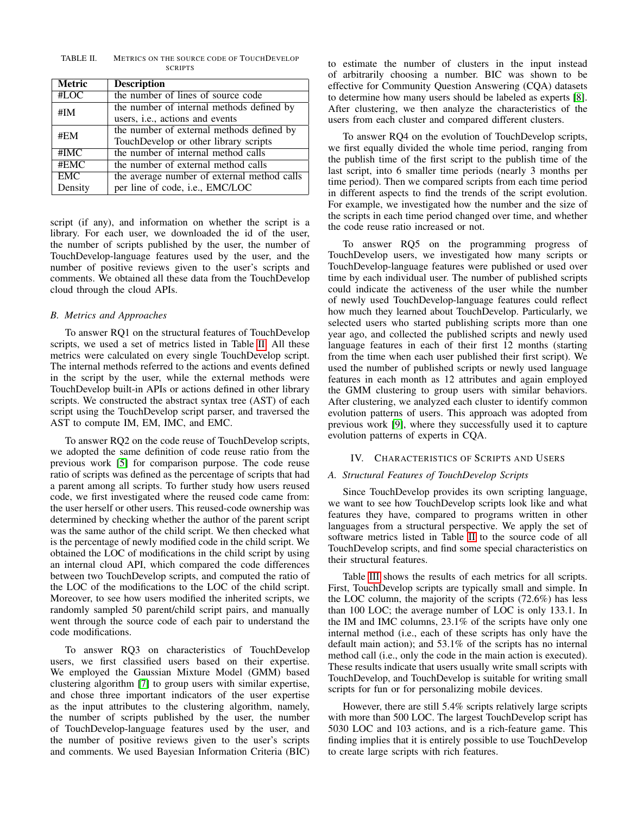<span id="page-3-0"></span>TABLE II. METRICS ON THE SOURCE CODE OF TOUCHDEVELOP **SCRIPTS** 

| <b>Metric</b> | <b>Description</b>                          |
|---------------|---------------------------------------------|
| #LOC          | the number of lines of source code          |
| #IM           | the number of internal methods defined by   |
|               | users, i.e., actions and events             |
| #EM           | the number of external methods defined by   |
|               | TouchDevelop or other library scripts       |
| #IMC          | the number of internal method calls         |
| #EMC          | the number of external method calls         |
| <b>EMC</b>    | the average number of external method calls |
| Density       | per line of code, i.e., EMC/LOC             |

script (if any), and information on whether the script is a library. For each user, we downloaded the id of the user, the number of scripts published by the user, the number of TouchDevelop-language features used by the user, and the number of positive reviews given to the user's scripts and comments. We obtained all these data from the TouchDevelop cloud through the cloud APIs.

# *B. Metrics and Approaches*

To answer RQ1 on the structural features of TouchDevelop scripts, we used a set of metrics listed in Table [II.](#page-3-0) All these metrics were calculated on every single TouchDevelop script. The internal methods referred to the actions and events defined in the script by the user, while the external methods were TouchDevelop built-in APIs or actions defined in other library scripts. We constructed the abstract syntax tree (AST) of each script using the TouchDevelop script parser, and traversed the AST to compute IM, EM, IMC, and EMC.

To answer RQ2 on the code reuse of TouchDevelop scripts, we adopted the same definition of code reuse ratio from the previous work [\[5\]](#page-7-4) for comparison purpose. The code reuse ratio of scripts was defined as the percentage of scripts that had a parent among all scripts. To further study how users reused code, we first investigated where the reused code came from: the user herself or other users. This reused-code ownership was determined by checking whether the author of the parent script was the same author of the child script. We then checked what is the percentage of newly modified code in the child script. We obtained the LOC of modifications in the child script by using an internal cloud API, which compared the code differences between two TouchDevelop scripts, and computed the ratio of the LOC of the modifications to the LOC of the child script. Moreover, to see how users modified the inherited scripts, we randomly sampled 50 parent/child script pairs, and manually went through the source code of each pair to understand the code modifications.

To answer RQ3 on characteristics of TouchDevelop users, we first classified users based on their expertise. We employed the Gaussian Mixture Model (GMM) based clustering algorithm [\[7\]](#page-7-6) to group users with similar expertise, and chose three important indicators of the user expertise as the input attributes to the clustering algorithm, namely, the number of scripts published by the user, the number of TouchDevelop-language features used by the user, and the number of positive reviews given to the user's scripts and comments. We used Bayesian Information Criteria (BIC) to estimate the number of clusters in the input instead of arbitrarily choosing a number. BIC was shown to be effective for Community Question Answering (CQA) datasets to determine how many users should be labeled as experts [\[8\]](#page-7-7). After clustering, we then analyze the characteristics of the users from each cluster and compared different clusters.

To answer RQ4 on the evolution of TouchDevelop scripts, we first equally divided the whole time period, ranging from the publish time of the first script to the publish time of the last script, into 6 smaller time periods (nearly 3 months per time period). Then we compared scripts from each time period in different aspects to find the trends of the script evolution. For example, we investigated how the number and the size of the scripts in each time period changed over time, and whether the code reuse ratio increased or not.

To answer RQ5 on the programming progress of TouchDevelop users, we investigated how many scripts or TouchDevelop-language features were published or used over time by each individual user. The number of published scripts could indicate the activeness of the user while the number of newly used TouchDevelop-language features could reflect how much they learned about TouchDevelop. Particularly, we selected users who started publishing scripts more than one year ago, and collected the published scripts and newly used language features in each of their first 12 months (starting from the time when each user published their first script). We used the number of published scripts or newly used language features in each month as 12 attributes and again employed the GMM clustering to group users with similar behaviors. After clustering, we analyzed each cluster to identify common evolution patterns of users. This approach was adopted from previous work [\[9\]](#page-7-8), where they successfully used it to capture evolution patterns of experts in CQA.

#### IV. CHARACTERISTICS OF SCRIPTS AND USERS

# *A. Structural Features of TouchDevelop Scripts*

Since TouchDevelop provides its own scripting language, we want to see how TouchDevelop scripts look like and what features they have, compared to programs written in other languages from a structural perspective. We apply the set of software metrics listed in Table [II](#page-3-0) to the source code of all TouchDevelop scripts, and find some special characteristics on their structural features.

Table [III](#page-4-0) shows the results of each metrics for all scripts. First, TouchDevelop scripts are typically small and simple. In the LOC column, the majority of the scripts (72.6%) has less than 100 LOC; the average number of LOC is only 133.1. In the IM and IMC columns, 23.1% of the scripts have only one internal method (i.e., each of these scripts has only have the default main action); and 53.1% of the scripts has no internal method call (i.e., only the code in the main action is executed). These results indicate that users usually write small scripts with TouchDevelop, and TouchDevelop is suitable for writing small scripts for fun or for personalizing mobile devices.

However, there are still 5.4% scripts relatively large scripts with more than 500 LOC. The largest TouchDevelop script has 5030 LOC and 103 actions, and is a rich-feature game. This finding implies that it is entirely possible to use TouchDevelop to create large scripts with rich features.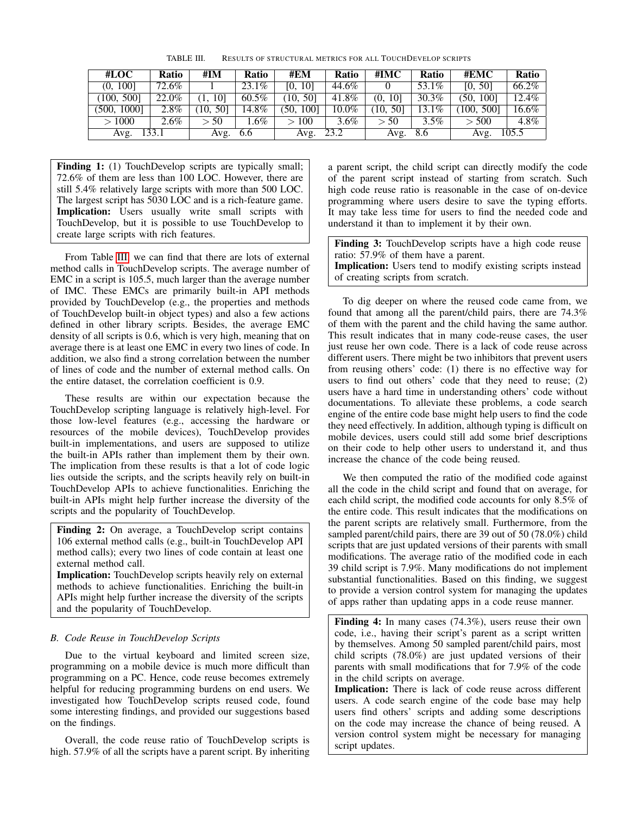<span id="page-4-0"></span>

| #LOC        | Ratio   | #IM        | <b>Ratio</b> | #EM       | <b>Ratio</b> | #IMC       | <b>Ratio</b> | #EMC                   | Ratio   |
|-------------|---------|------------|--------------|-----------|--------------|------------|--------------|------------------------|---------|
| (0, 100]    | 72.6%   |            | 23.1%        | [0, 10]   | 44.6%        |            | 53.1%        | [0, 50]                | 66.2%   |
| (100, 500)  | 22.0%   | 101        | $60.5\%$     | (10, 50]  | 41.8%        | 101<br>(0, | 30.3%        | 1001<br><sup>50.</sup> | 12.4%   |
| (500, 1000] | $2.8\%$ | 501<br>10. | 14.8%        | (50, 100] | $10.0\%$     | [10, 50]   | 13.1%        | (100, 500]             | 16.6%   |
| >1000       | $2.6\%$ | > 50       | $.6\%$       | >100      | $3.6\%$      | > 50       | $3.5\%$      | > 500                  | $4.8\%$ |
| Avg.        | 133.1   | Avg.       | 6.6          | Avg.      | 23.2         | Avg.       | 8.6          | Avg.                   | 105.5   |

Finding 1: (1) TouchDevelop scripts are typically small; 72.6% of them are less than 100 LOC. However, there are still 5.4% relatively large scripts with more than 500 LOC. The largest script has 5030 LOC and is a rich-feature game. Implication: Users usually write small scripts with TouchDevelop, but it is possible to use TouchDevelop to create large scripts with rich features.

From Table [III,](#page-4-0) we can find that there are lots of external method calls in TouchDevelop scripts. The average number of EMC in a script is 105.5, much larger than the average number of IMC. These EMCs are primarily built-in API methods provided by TouchDevelop (e.g., the properties and methods of TouchDevelop built-in object types) and also a few actions defined in other library scripts. Besides, the average EMC density of all scripts is 0.6, which is very high, meaning that on average there is at least one EMC in every two lines of code. In addition, we also find a strong correlation between the number of lines of code and the number of external method calls. On the entire dataset, the correlation coefficient is 0.9.

These results are within our expectation because the TouchDevelop scripting language is relatively high-level. For those low-level features (e.g., accessing the hardware or resources of the mobile devices), TouchDevelop provides built-in implementations, and users are supposed to utilize the built-in APIs rather than implement them by their own. The implication from these results is that a lot of code logic lies outside the scripts, and the scripts heavily rely on built-in TouchDevelop APIs to achieve functionalities. Enriching the built-in APIs might help further increase the diversity of the scripts and the popularity of TouchDevelop.

Finding 2: On average, a TouchDevelop script contains 106 external method calls (e.g., built-in TouchDevelop API method calls); every two lines of code contain at least one external method call.

Implication: TouchDevelop scripts heavily rely on external methods to achieve functionalities. Enriching the built-in APIs might help further increase the diversity of the scripts and the popularity of TouchDevelop.

# *B. Code Reuse in TouchDevelop Scripts*

Due to the virtual keyboard and limited screen size, programming on a mobile device is much more difficult than programming on a PC. Hence, code reuse becomes extremely helpful for reducing programming burdens on end users. We investigated how TouchDevelop scripts reused code, found some interesting findings, and provided our suggestions based on the findings.

Overall, the code reuse ratio of TouchDevelop scripts is high. 57.9% of all the scripts have a parent script. By inheriting a parent script, the child script can directly modify the code of the parent script instead of starting from scratch. Such high code reuse ratio is reasonable in the case of on-device programming where users desire to save the typing efforts. It may take less time for users to find the needed code and understand it than to implement it by their own.

Finding 3: TouchDevelop scripts have a high code reuse ratio: 57.9% of them have a parent. Implication: Users tend to modify existing scripts instead of creating scripts from scratch.

To dig deeper on where the reused code came from, we found that among all the parent/child pairs, there are 74.3% of them with the parent and the child having the same author. This result indicates that in many code-reuse cases, the user just reuse her own code. There is a lack of code reuse across different users. There might be two inhibitors that prevent users from reusing others' code: (1) there is no effective way for users to find out others' code that they need to reuse; (2) users have a hard time in understanding others' code without documentations. To alleviate these problems, a code search engine of the entire code base might help users to find the code they need effectively. In addition, although typing is difficult on mobile devices, users could still add some brief descriptions on their code to help other users to understand it, and thus increase the chance of the code being reused.

We then computed the ratio of the modified code against all the code in the child script and found that on average, for each child script, the modified code accounts for only 8.5% of the entire code. This result indicates that the modifications on the parent scripts are relatively small. Furthermore, from the sampled parent/child pairs, there are 39 out of 50 (78.0%) child scripts that are just updated versions of their parents with small modifications. The average ratio of the modified code in each 39 child script is 7.9%. Many modifications do not implement substantial functionalities. Based on this finding, we suggest to provide a version control system for managing the updates of apps rather than updating apps in a code reuse manner.

Finding 4: In many cases (74.3%), users reuse their own code, i.e., having their script's parent as a script written by themselves. Among 50 sampled parent/child pairs, most child scripts (78.0%) are just updated versions of their parents with small modifications that for 7.9% of the code in the child scripts on average.

Implication: There is lack of code reuse across different users. A code search engine of the code base may help users find others' scripts and adding some descriptions on the code may increase the chance of being reused. A version control system might be necessary for managing script updates.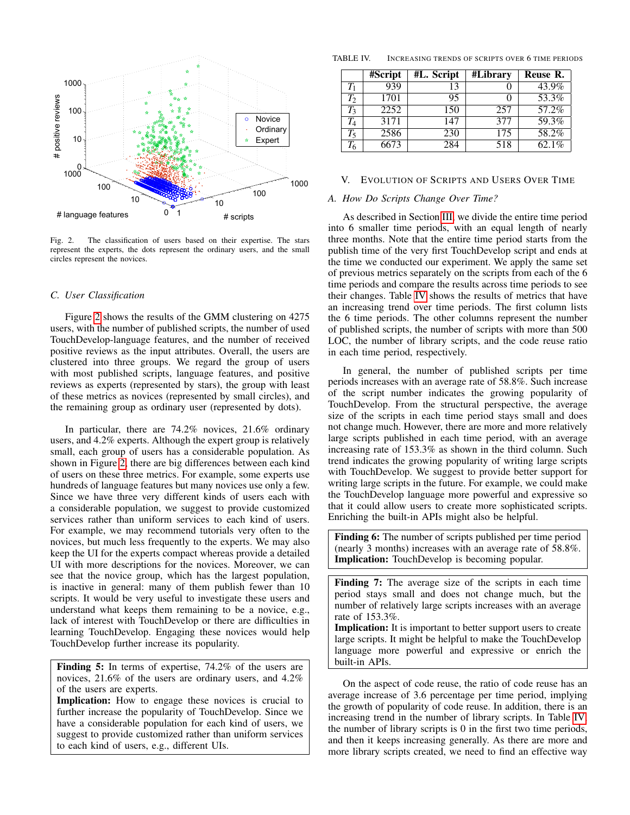

<span id="page-5-0"></span>Fig. 2. The classification of users based on their expertise. The stars represent the experts, the dots represent the ordinary users, and the small circles represent the novices.

#### *C. User Classification*

Figure [2](#page-5-0) shows the results of the GMM clustering on 4275 users, with the number of published scripts, the number of used TouchDevelop-language features, and the number of received positive reviews as the input attributes. Overall, the users are clustered into three groups. We regard the group of users with most published scripts, language features, and positive reviews as experts (represented by stars), the group with least of these metrics as novices (represented by small circles), and the remaining group as ordinary user (represented by dots).

In particular, there are 74.2% novices, 21.6% ordinary users, and 4.2% experts. Although the expert group is relatively small, each group of users has a considerable population. As shown in Figure [2,](#page-5-0) there are big differences between each kind of users on these three metrics. For example, some experts use hundreds of language features but many novices use only a few. Since we have three very different kinds of users each with a considerable population, we suggest to provide customized services rather than uniform services to each kind of users. For example, we may recommend tutorials very often to the novices, but much less frequently to the experts. We may also keep the UI for the experts compact whereas provide a detailed UI with more descriptions for the novices. Moreover, we can see that the novice group, which has the largest population, is inactive in general: many of them publish fewer than 10 scripts. It would be very useful to investigate these users and understand what keeps them remaining to be a novice, e.g., lack of interest with TouchDevelop or there are difficulties in learning TouchDevelop. Engaging these novices would help TouchDevelop further increase its popularity.

Finding 5: In terms of expertise, 74.2% of the users are novices, 21.6% of the users are ordinary users, and 4.2% of the users are experts.

Implication: How to engage these novices is crucial to further increase the popularity of TouchDevelop. Since we have a considerable population for each kind of users, we suggest to provide customized rather than uniform services to each kind of users, e.g., different UIs.

TABLE IV. INCREASING TRENDS OF SCRIPTS OVER 6 TIME PERIODS

<span id="page-5-1"></span>

|             | #Script | #L. Script | #Library | Reuse R. |
|-------------|---------|------------|----------|----------|
| $T_1$       | 939     |            |          | 43.9%    |
| $T_2$       | 1701    | 95         |          | 53.3%    |
| $T_3$       | 2252    | 150        | 257      | 57.2%    |
| $\bar{T_4}$ | 3171    | 147        | 377      | 59.3%    |
| $T_5$       | 2586    | 230        | 175      | 58.2%    |
| $T_6$       | 6673    | 284        | 518      | $62.1\%$ |

#### V. EVOLUTION OF SCRIPTS AND USERS OVER TIME

#### *A. How Do Scripts Change Over Time?*

As described in Section [III,](#page-2-1) we divide the entire time period into 6 smaller time periods, with an equal length of nearly three months. Note that the entire time period starts from the publish time of the very first TouchDevelop script and ends at the time we conducted our experiment. We apply the same set of previous metrics separately on the scripts from each of the 6 time periods and compare the results across time periods to see their changes. Table [IV](#page-5-1) shows the results of metrics that have an increasing trend over time periods. The first column lists the 6 time periods. The other columns represent the number of published scripts, the number of scripts with more than 500 LOC, the number of library scripts, and the code reuse ratio in each time period, respectively.

In general, the number of published scripts per time periods increases with an average rate of 58.8%. Such increase of the script number indicates the growing popularity of TouchDevelop. From the structural perspective, the average size of the scripts in each time period stays small and does not change much. However, there are more and more relatively large scripts published in each time period, with an average increasing rate of 153.3% as shown in the third column. Such trend indicates the growing popularity of writing large scripts with TouchDevelop. We suggest to provide better support for writing large scripts in the future. For example, we could make the TouchDevelop language more powerful and expressive so that it could allow users to create more sophisticated scripts. Enriching the built-in APIs might also be helpful.

Finding 6: The number of scripts published per time period (nearly 3 months) increases with an average rate of 58.8%. Implication: TouchDevelop is becoming popular.

Finding 7: The average size of the scripts in each time period stays small and does not change much, but the number of relatively large scripts increases with an average rate of 153.3%.

Implication: It is important to better support users to create large scripts. It might be helpful to make the TouchDevelop language more powerful and expressive or enrich the built-in APIs.

On the aspect of code reuse, the ratio of code reuse has an average increase of 3.6 percentage per time period, implying the growth of popularity of code reuse. In addition, there is an increasing trend in the number of library scripts. In Table [IV,](#page-5-1) the number of library scripts is 0 in the first two time periods, and then it keeps increasing generally. As there are more and more library scripts created, we need to find an effective way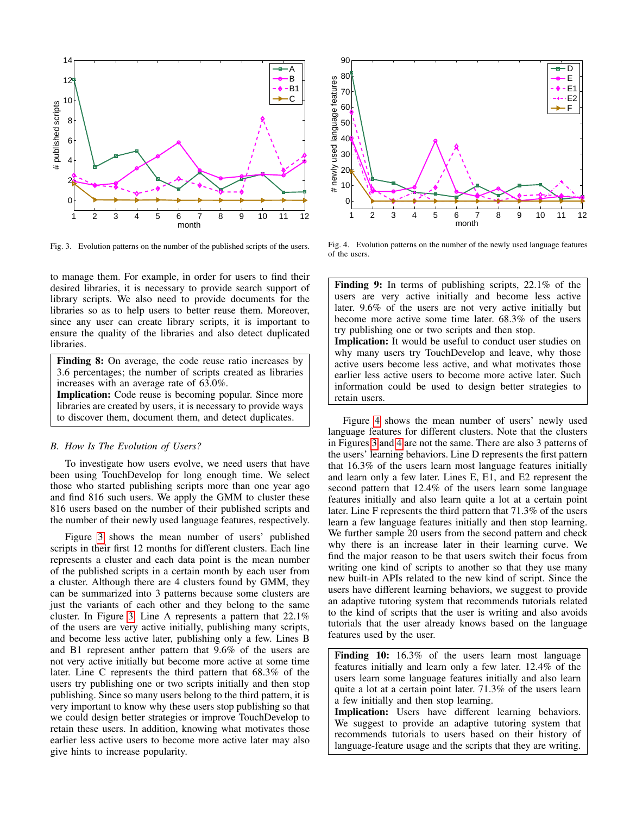

<span id="page-6-0"></span>Fig. 3. Evolution patterns on the number of the published scripts of the users.

to manage them. For example, in order for users to find their desired libraries, it is necessary to provide search support of library scripts. We also need to provide documents for the libraries so as to help users to better reuse them. Moreover, since any user can create library scripts, it is important to ensure the quality of the libraries and also detect duplicated libraries.

Finding 8: On average, the code reuse ratio increases by 3.6 percentages; the number of scripts created as libraries increases with an average rate of 63.0%. Implication: Code reuse is becoming popular. Since more

libraries are created by users, it is necessary to provide ways to discover them, document them, and detect duplicates.

#### *B. How Is The Evolution of Users?*

To investigate how users evolve, we need users that have been using TouchDevelop for long enough time. We select those who started publishing scripts more than one year ago and find 816 such users. We apply the GMM to cluster these 816 users based on the number of their published scripts and the number of their newly used language features, respectively.

Figure [3](#page-6-0) shows the mean number of users' published scripts in their first 12 months for different clusters. Each line represents a cluster and each data point is the mean number of the published scripts in a certain month by each user from a cluster. Although there are 4 clusters found by GMM, they can be summarized into 3 patterns because some clusters are just the variants of each other and they belong to the same cluster. In Figure [3,](#page-6-0) Line A represents a pattern that 22.1% of the users are very active initially, publishing many scripts, and become less active later, publishing only a few. Lines B and B1 represent anther pattern that 9.6% of the users are not very active initially but become more active at some time later. Line C represents the third pattern that 68.3% of the users try publishing one or two scripts initially and then stop publishing. Since so many users belong to the third pattern, it is very important to know why these users stop publishing so that we could design better strategies or improve TouchDevelop to retain these users. In addition, knowing what motivates those earlier less active users to become more active later may also give hints to increase popularity.



<span id="page-6-1"></span>Fig. 4. Evolution patterns on the number of the newly used language features of the users.

Finding 9: In terms of publishing scripts, 22.1% of the users are very active initially and become less active later. 9.6% of the users are not very active initially but become more active some time later. 68.3% of the users try publishing one or two scripts and then stop. Implication: It would be useful to conduct user studies on why many users try TouchDevelop and leave, why those active users become less active, and what motivates those earlier less active users to become more active later. Such information could be used to design better strategies to

retain users.

Figure [4](#page-6-1) shows the mean number of users' newly used language features for different clusters. Note that the clusters in Figures [3](#page-6-0) and [4](#page-6-1) are not the same. There are also 3 patterns of the users' learning behaviors. Line D represents the first pattern that 16.3% of the users learn most language features initially and learn only a few later. Lines E, E1, and E2 represent the second pattern that 12.4% of the users learn some language features initially and also learn quite a lot at a certain point later. Line F represents the third pattern that 71.3% of the users learn a few language features initially and then stop learning. We further sample 20 users from the second pattern and check why there is an increase later in their learning curve. We find the major reason to be that users switch their focus from writing one kind of scripts to another so that they use many new built-in APIs related to the new kind of script. Since the users have different learning behaviors, we suggest to provide an adaptive tutoring system that recommends tutorials related to the kind of scripts that the user is writing and also avoids tutorials that the user already knows based on the language features used by the user.

Finding 10: 16.3% of the users learn most language features initially and learn only a few later. 12.4% of the users learn some language features initially and also learn quite a lot at a certain point later. 71.3% of the users learn a few initially and then stop learning.

Implication: Users have different learning behaviors. We suggest to provide an adaptive tutoring system that recommends tutorials to users based on their history of language-feature usage and the scripts that they are writing.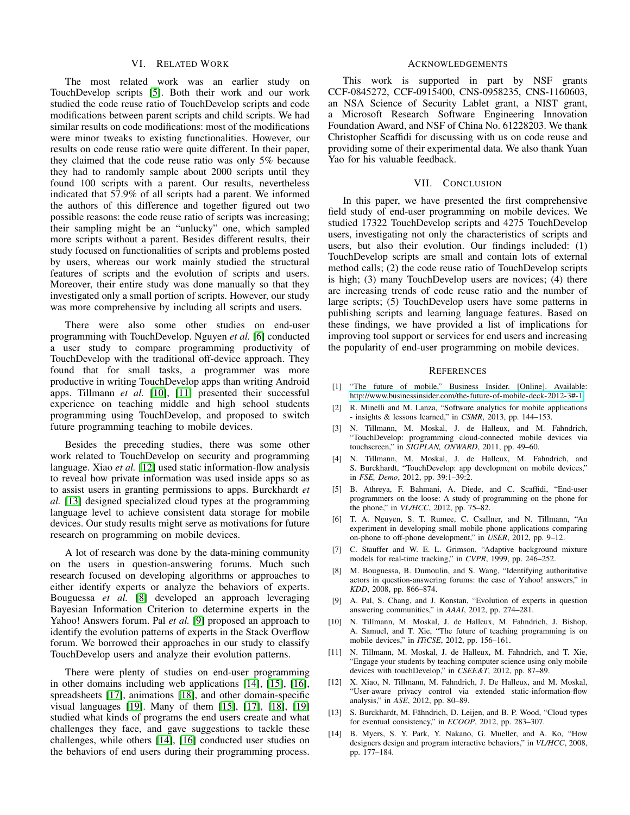#### VI. RELATED WORK

The most related work was an earlier study on TouchDevelop scripts [\[5\]](#page-7-4). Both their work and our work studied the code reuse ratio of TouchDevelop scripts and code modifications between parent scripts and child scripts. We had similar results on code modifications: most of the modifications were minor tweaks to existing functionalities. However, our results on code reuse ratio were quite different. In their paper, they claimed that the code reuse ratio was only 5% because they had to randomly sample about 2000 scripts until they found 100 scripts with a parent. Our results, nevertheless indicated that 57.9% of all scripts had a parent. We informed the authors of this difference and together figured out two possible reasons: the code reuse ratio of scripts was increasing; their sampling might be an "unlucky" one, which sampled more scripts without a parent. Besides different results, their study focused on functionalities of scripts and problems posted by users, whereas our work mainly studied the structural features of scripts and the evolution of scripts and users. Moreover, their entire study was done manually so that they investigated only a small portion of scripts. However, our study was more comprehensive by including all scripts and users.

There were also some other studies on end-user programming with TouchDevelop. Nguyen *et al.* [\[6\]](#page-7-5) conducted a user study to compare programming productivity of TouchDevelop with the traditional off-device approach. They found that for small tasks, a programmer was more productive in writing TouchDevelop apps than writing Android apps. Tillmann *et al.* [\[10\]](#page-7-9), [\[11\]](#page-7-10) presented their successful experience on teaching middle and high school students programming using TouchDevelop, and proposed to switch future programming teaching to mobile devices.

Besides the preceding studies, there was some other work related to TouchDevelop on security and programming language. Xiao *et al.* [\[12\]](#page-7-11) used static information-flow analysis to reveal how private information was used inside apps so as to assist users in granting permissions to apps. Burckhardt *et al.* [\[13\]](#page-7-12) designed specialized cloud types at the programming language level to achieve consistent data storage for mobile devices. Our study results might serve as motivations for future research on programming on mobile devices.

A lot of research was done by the data-mining community on the users in question-answering forums. Much such research focused on developing algorithms or approaches to either identify experts or analyze the behaviors of experts. Bouguessa *et al.* [\[8\]](#page-7-7) developed an approach leveraging Bayesian Information Criterion to determine experts in the Yahoo! Answers forum. Pal *et al.* [\[9\]](#page-7-8) proposed an approach to identify the evolution patterns of experts in the Stack Overflow forum. We borrowed their approaches in our study to classify TouchDevelop users and analyze their evolution patterns.

There were plenty of studies on end-user programming in other domains including web applications [\[14\]](#page-7-13), [\[15\]](#page-8-0), [\[16\]](#page-8-1), spreadsheets [\[17\]](#page-8-2), animations [\[18\]](#page-8-3), and other domain-specific visual languages [\[19\]](#page-8-4). Many of them [\[15\]](#page-8-0), [\[17\]](#page-8-2), [\[18\]](#page-8-3), [\[19\]](#page-8-4) studied what kinds of programs the end users create and what challenges they face, and gave suggestions to tackle these challenges, while others [\[14\]](#page-7-13), [\[16\]](#page-8-1) conducted user studies on the behaviors of end users during their programming process.

#### ACKNOWLEDGEMENTS

This work is supported in part by NSF grants CCF-0845272, CCF-0915400, CNS-0958235, CNS-1160603, an NSA Science of Security Lablet grant, a NIST grant, a Microsoft Research Software Engineering Innovation Foundation Award, and NSF of China No. 61228203. We thank Christopher Scaffidi for discussing with us on code reuse and providing some of their experimental data. We also thank Yuan Yao for his valuable feedback.

## VII. CONCLUSION

In this paper, we have presented the first comprehensive field study of end-user programming on mobile devices. We studied 17322 TouchDevelop scripts and 4275 TouchDevelop users, investigating not only the characteristics of scripts and users, but also their evolution. Our findings included: (1) TouchDevelop scripts are small and contain lots of external method calls; (2) the code reuse ratio of TouchDevelop scripts is high; (3) many TouchDevelop users are novices; (4) there are increasing trends of code reuse ratio and the number of large scripts; (5) TouchDevelop users have some patterns in publishing scripts and learning language features. Based on these findings, we have provided a list of implications for improving tool support or services for end users and increasing the popularity of end-user programming on mobile devices.

#### **REFERENCES**

- <span id="page-7-0"></span>[1] "The future of mobile," Business Insider. [Online]. Available: <http://www.businessinsider.com/the-future-of-mobile-deck-2012-3#-1>
- <span id="page-7-1"></span>[2] R. Minelli and M. Lanza, "Software analytics for mobile applications - insights & lessons learned," in *CSMR*, 2013, pp. 144–153.
- <span id="page-7-2"></span>[3] N. Tillmann, M. Moskal, J. de Halleux, and M. Fahndrich, "TouchDevelop: programming cloud-connected mobile devices via touchscreen," in *SIGPLAN, ONWARD*, 2011, pp. 49–60.
- <span id="page-7-3"></span>[4] N. Tillmann, M. Moskal, J. de Halleux, M. Fahndrich, and S. Burckhardt, "TouchDevelop: app development on mobile devices," in *FSE, Demo*, 2012, pp. 39:1–39:2.
- <span id="page-7-4"></span>[5] B. Athreya, F. Bahmani, A. Diede, and C. Scaffidi, "End-user programmers on the loose: A study of programming on the phone for the phone," in *VL/HCC*, 2012, pp. 75–82.
- <span id="page-7-5"></span>[6] T. A. Nguyen, S. T. Rumee, C. Csallner, and N. Tillmann, "An experiment in developing small mobile phone applications comparing on-phone to off-phone development," in *USER*, 2012, pp. 9–12.
- <span id="page-7-6"></span>[7] C. Stauffer and W. E. L. Grimson, "Adaptive background mixture models for real-time tracking," in *CVPR*, 1999, pp. 246–252.
- <span id="page-7-7"></span>[8] M. Bouguessa, B. Dumoulin, and S. Wang, "Identifying authoritative actors in question-answering forums: the case of Yahoo! answers," in *KDD*, 2008, pp. 866–874.
- <span id="page-7-8"></span>[9] A. Pal, S. Chang, and J. Konstan, "Evolution of experts in question answering communities," in *AAAI*, 2012, pp. 274–281.
- <span id="page-7-9"></span>[10] N. Tillmann, M. Moskal, J. de Halleux, M. Fahndrich, J. Bishop, A. Samuel, and T. Xie, "The future of teaching programming is on mobile devices," in *ITiCSE*, 2012, pp. 156–161.
- <span id="page-7-10"></span>[11] N. Tillmann, M. Moskal, J. de Halleux, M. Fahndrich, and T. Xie, "Engage your students by teaching computer science using only mobile devices with touchDevelop," in *CSEE&T*, 2012, pp. 87–89.
- <span id="page-7-11"></span>[12] X. Xiao, N. Tillmann, M. Fahndrich, J. De Halleux, and M. Moskal, "User-aware privacy control via extended static-information-flow analysis," in *ASE*, 2012, pp. 80–89.
- <span id="page-7-12"></span>[13] S. Burckhardt, M. Fähndrich, D. Leijen, and B. P. Wood, "Cloud types for eventual consistency," in *ECOOP*, 2012, pp. 283–307.
- <span id="page-7-13"></span>[14] B. Myers, S. Y. Park, Y. Nakano, G. Mueller, and A. Ko, "How designers design and program interactive behaviors," in *VL/HCC*, 2008, pp. 177–184.